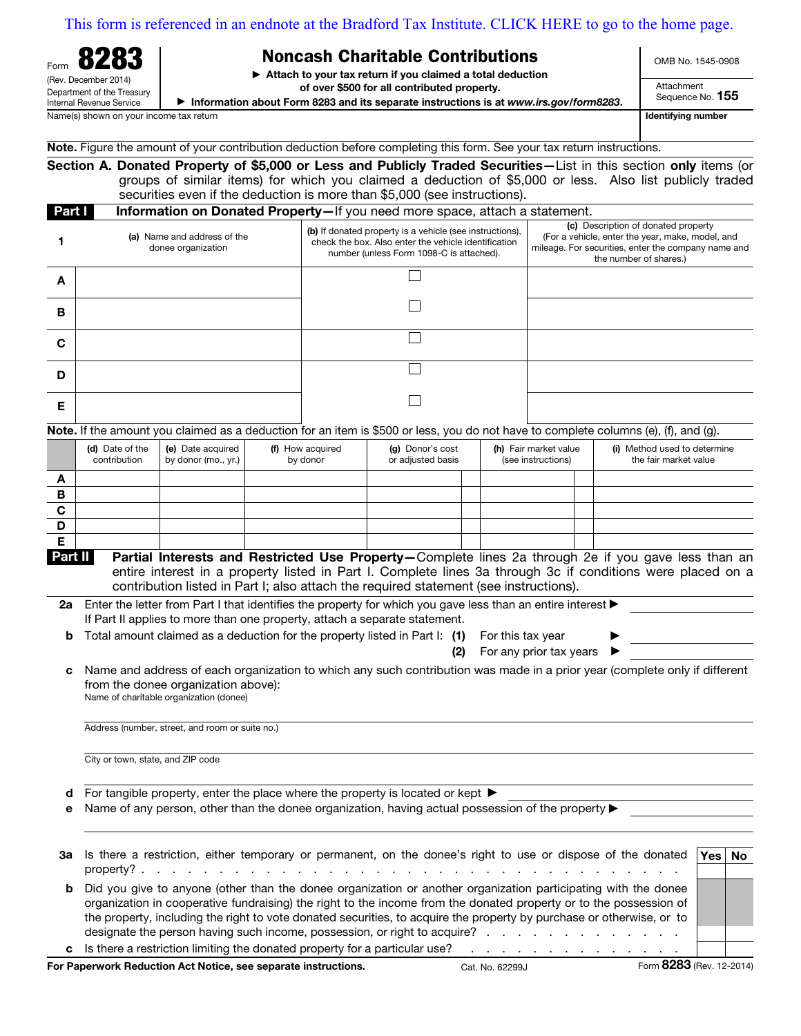[This form is referenced in an endnote at the Bradford Tax Institute. CLICK HERE to go to the home page.](bradfordtaxinstitute.com)

| л<br>п<br>z<br>Form                                    |  |  |  |  |  |
|--------------------------------------------------------|--|--|--|--|--|
| (Rev. December 2014)                                   |  |  |  |  |  |
| Department of the Treasury<br>Internal Revenue Service |  |  |  |  |  |

## Noncash Charitable Contributions

 $\blacktriangleright$  Attach to your tax return if you claimed a total deduction

of over \$500 for all contributed property.

▶ Information about Form 8283 and its separate instructions is at www.irs.gov/form8283.

OMB No. 1545-0908

Attachment Sequence No. 155

Name(s) shown on your income tax return in the state of the state of the state of the state of the state of the state of the state of the state of the state of the state of the state of the state of the state of the state

|  |  |  | Note. Figure the amount of your contribution deduction before completing this form. See your tax return instructions. |
|--|--|--|-----------------------------------------------------------------------------------------------------------------------|
|  |  |  |                                                                                                                       |

Section A. Donated Property of \$5,000 or Less and Publicly Traded Securities—List in this section only items (or groups of similar items) for which you claimed a deduction of \$5,000 or less. Also list publicly traded securities even if the deduction is more than \$5,000 (see instructions).

|   | Part I<br><b>Information on Donated Property</b> —If you need more space, attach a statement. |                                                                                                                                                              |                                                                                                                                                                          |  |  |  |  |  |  |
|---|-----------------------------------------------------------------------------------------------|--------------------------------------------------------------------------------------------------------------------------------------------------------------|--------------------------------------------------------------------------------------------------------------------------------------------------------------------------|--|--|--|--|--|--|
|   | (a) Name and address of the<br>donee organization                                             | (b) If donated property is a vehicle (see instructions),<br>check the box. Also enter the vehicle identification<br>number (unless Form 1098-C is attached). | (c) Description of donated property<br>(For a vehicle, enter the year, make, model, and<br>mileage. For securities, enter the company name and<br>the number of shares.) |  |  |  |  |  |  |
| A |                                                                                               |                                                                                                                                                              |                                                                                                                                                                          |  |  |  |  |  |  |
| в |                                                                                               |                                                                                                                                                              |                                                                                                                                                                          |  |  |  |  |  |  |
| C |                                                                                               |                                                                                                                                                              |                                                                                                                                                                          |  |  |  |  |  |  |
| D |                                                                                               |                                                                                                                                                              |                                                                                                                                                                          |  |  |  |  |  |  |
| Е |                                                                                               |                                                                                                                                                              |                                                                                                                                                                          |  |  |  |  |  |  |

Note. If the amount you claimed as a deduction for an item is \$500 or less, you do not have to complete columns (e), (f), and (g).

|   | (d) Date of the<br>contribution | (e) Date acquired<br>by donor (mo., yr.) $\vert$ | (f) How acquired<br>by donor | (g) Donor's cost<br>or adjusted basis | (h) Fair market value<br>(see instructions) |  | (i) Method used to determine<br>the fair market value |
|---|---------------------------------|--------------------------------------------------|------------------------------|---------------------------------------|---------------------------------------------|--|-------------------------------------------------------|
|   |                                 |                                                  |                              |                                       |                                             |  |                                                       |
| в |                                 |                                                  |                              |                                       |                                             |  |                                                       |
| C |                                 |                                                  |                              |                                       |                                             |  |                                                       |
| D |                                 |                                                  |                              |                                       |                                             |  |                                                       |
|   |                                 |                                                  |                              |                                       |                                             |  |                                                       |

Part II Partial Interests and Restricted Use Property–Complete lines 2a through 2e if you gave less than an entire interest in a property listed in Part I. Complete lines 3a through 3c if conditions were placed on a contribution listed in Part I; also attach the required statement (see instructions).

| 2a Enter the letter from Part I that identifies the property for which you gave less than an entire interest $\blacktriangleright$ |                                                   |  |  |  |
|------------------------------------------------------------------------------------------------------------------------------------|---------------------------------------------------|--|--|--|
| If Part II applies to more than one property, attach a separate statement.                                                         |                                                   |  |  |  |
| <b>b</b> Total amount claimed as a deduction for the property listed in Part I: (1) For this tax year                              |                                                   |  |  |  |
|                                                                                                                                    | (2) For any prior tax years $\blacktriangleright$ |  |  |  |

| c Name and address of each organization to which any such contribution was made in a prior year (complete only if different |
|-----------------------------------------------------------------------------------------------------------------------------|
| from the donee organization above):                                                                                         |
| Name of charitable organization (donee)                                                                                     |

Address (number, street, and room or suite no.)

City or town, state, and ZIP code

**d** For tangible property, enter the place where the property is located or kept  $\blacktriangleright$ 

e Name of any person, other than the donee organization, having actual possession of the property  $\blacktriangleright$ 

|   | 3a Is there a restriction, either temporary or permanent, on the donee's right to use or dispose of the donated                                                                                                                                                                                                                                                                                                                            | $\sqrt{es}$ | No |
|---|--------------------------------------------------------------------------------------------------------------------------------------------------------------------------------------------------------------------------------------------------------------------------------------------------------------------------------------------------------------------------------------------------------------------------------------------|-------------|----|
| b | Did you give to anyone (other than the donee organization or another organization participating with the donee<br>organization in cooperative fundraising) the right to the income from the donated property or to the possession of<br>the property, including the right to vote donated securities, to acquire the property by purchase or otherwise, or to<br>designate the person having such income, possession, or right to acquire? |             |    |
|   | c Is there a restriction limiting the donated property for a particular use?<br>المنافر والمنافر والمنافر والمنافر والمنافر والمنافر والمنافر                                                                                                                                                                                                                                                                                              |             |    |
|   | Form 8283 (Rev. 12-2014)<br>For Paperwork Reduction Act Notice, see separate instructions.<br>Cat. No. 62299J                                                                                                                                                                                                                                                                                                                              |             |    |